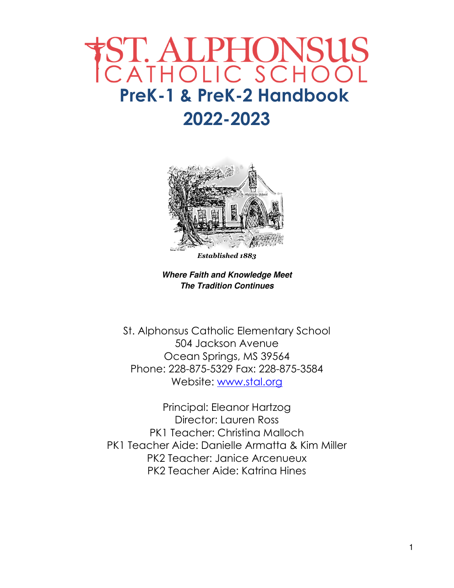## ST. ALPHONSUS<br>CATHOLIC SCHOOL  **PreK-1 & PreK-2 Handbook 2022-2023**



*Established 1883* 

**Where Faith and Knowledge Meet The Tradition Continues**

St. Alphonsus Catholic Elementary School 504 Jackson Avenue Ocean Springs, MS 39564 Phone: 228-875-5329 Fax: 228-875-3584 Website: www.stal.org

Principal: Eleanor Hartzog Director: Lauren Ross PK1 Teacher: Christina Malloch PK1 Teacher Aide: Danielle Armatta & Kim Miller PK2 Teacher: Janice Arcenueux PK2 Teacher Aide: Katrina Hines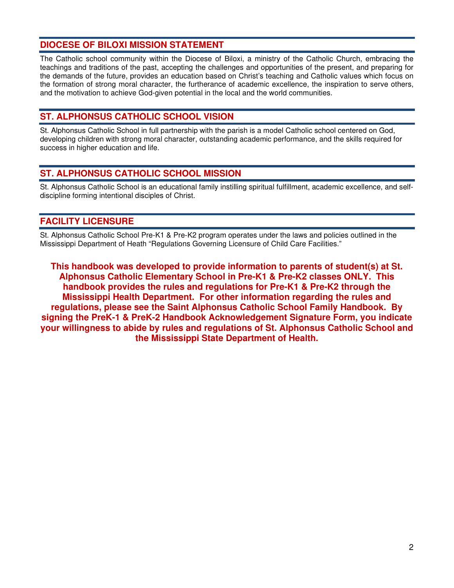#### **DIOCESE OF BILOXI MISSION STATEMENT**

The Catholic school community within the Diocese of Biloxi, a ministry of the Catholic Church, embracing the teachings and traditions of the past, accepting the challenges and opportunities of the present, and preparing for the demands of the future, provides an education based on Christ's teaching and Catholic values which focus on the formation of strong moral character, the furtherance of academic excellence, the inspiration to serve others, and the motivation to achieve God-given potential in the local and the world communities.

#### **ST. ALPHONSUS CATHOLIC SCHOOL VISION**

St. Alphonsus Catholic School in full partnership with the parish is a model Catholic school centered on God, developing children with strong moral character, outstanding academic performance, and the skills required for success in higher education and life.

#### **ST. ALPHONSUS CATHOLIC SCHOOL MISSION**

St. Alphonsus Catholic School is an educational family instilling spiritual fulfillment, academic excellence, and selfdiscipline forming intentional disciples of Christ.

#### **FACILITY LICENSURE**

St. Alphonsus Catholic School Pre-K1 & Pre-K2 program operates under the laws and policies outlined in the Mississippi Department of Heath "Regulations Governing Licensure of Child Care Facilities."

**This handbook was developed to provide information to parents of student(s) at St. Alphonsus Catholic Elementary School in Pre-K1 & Pre-K2 classes ONLY. This handbook provides the rules and regulations for Pre-K1 & Pre-K2 through the Mississippi Health Department. For other information regarding the rules and regulations, please see the Saint Alphonsus Catholic School Family Handbook. By signing the PreK-1 & PreK-2 Handbook Acknowledgement Signature Form, you indicate your willingness to abide by rules and regulations of St. Alphonsus Catholic School and the Mississippi State Department of Health.**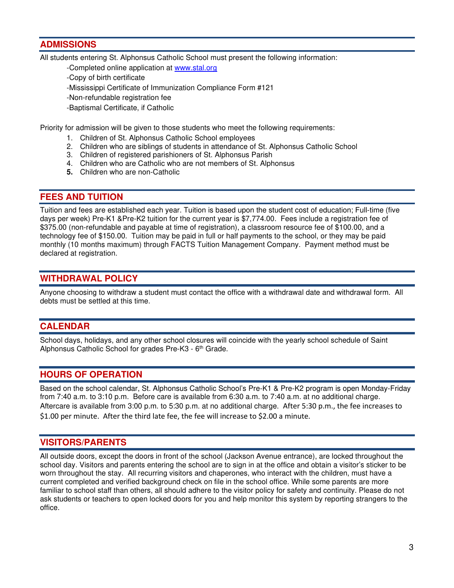#### **ADMISSIONS**

All students entering St. Alphonsus Catholic School must present the following information:

- -Completed online application at www.stal.org
- -Copy of birth certificate
- -Mississippi Certificate of Immunization Compliance Form #121
- -Non-refundable registration fee
- -Baptismal Certificate, if Catholic

Priority for admission will be given to those students who meet the following requirements:

- 1. Children of St. Alphonsus Catholic School employees
- 2. Children who are siblings of students in attendance of St. Alphonsus Catholic School
- 3. Children of registered parishioners of St. Alphonsus Parish
- 4. Children who are Catholic who are not members of St. Alphonsus
- **5.** Children who are non-Catholic

#### **FEES AND TUITION**

Tuition and fees are established each year. Tuition is based upon the student cost of education; Full-time (five days per week) Pre-K1 &Pre-K2 tuition for the current year is \$7,774.00. Fees include a registration fee of \$375.00 (non-refundable and payable at time of registration), a classroom resource fee of \$100.00, and a technology fee of \$150.00. Tuition may be paid in full or half payments to the school, or they may be paid monthly (10 months maximum) through FACTS Tuition Management Company. Payment method must be declared at registration.

#### **WITHDRAWAL POLICY**

Anyone choosing to withdraw a student must contact the office with a withdrawal date and withdrawal form. All debts must be settled at this time.

#### **CALENDAR**

School days, holidays, and any other school closures will coincide with the yearly school schedule of Saint Alphonsus Catholic School for grades Pre-K3 - 6<sup>th</sup> Grade.

#### **HOURS OF OPERATION**

Based on the school calendar, St. Alphonsus Catholic School's Pre-K1 & Pre-K2 program is open Monday-Friday from 7:40 a.m. to 3:10 p.m. Before care is available from 6:30 a.m. to 7:40 a.m. at no additional charge. Aftercare is available from 3:00 p.m. to 5:30 p.m. at no additional charge. After 5:30 p.m., the fee increases to \$1.00 per minute. After the third late fee, the fee will increase to \$2.00 a minute.

#### **VISITORS/PARENTS**

All outside doors, except the doors in front of the school (Jackson Avenue entrance), are locked throughout the school day. Visitors and parents entering the school are to sign in at the office and obtain a visitor's sticker to be worn throughout the stay. All recurring visitors and chaperones, who interact with the children, must have a current completed and verified background check on file in the school office. While some parents are more familiar to school staff than others, all should adhere to the visitor policy for safety and continuity. Please do not ask students or teachers to open locked doors for you and help monitor this system by reporting strangers to the office.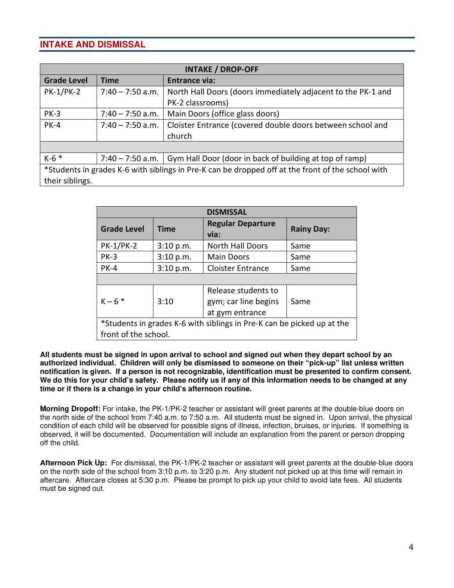#### **INTAKE AND DISMISSAL**

| <b>INTAKE / DROP-OFF</b>                                                                          |                    |                                                                                  |  |  |
|---------------------------------------------------------------------------------------------------|--------------------|----------------------------------------------------------------------------------|--|--|
| <b>Grade Level</b>                                                                                | <b>Time</b>        | <b>Entrance via:</b>                                                             |  |  |
| <b>PK-1/PK-2</b>                                                                                  | $7:40 - 7:50$ a.m. | North Hall Doors (doors immediately adjacent to the PK-1 and                     |  |  |
|                                                                                                   |                    | PK-2 classrooms)                                                                 |  |  |
| <b>PK-3</b>                                                                                       | $7:40 - 7:50$ a.m. | Main Doors (office glass doors)                                                  |  |  |
| <b>PK-4</b>                                                                                       | $7:40 - 7:50$ a.m. | Cloister Entrance (covered double doors between school and                       |  |  |
|                                                                                                   |                    | church                                                                           |  |  |
|                                                                                                   |                    |                                                                                  |  |  |
| $K-6$ *                                                                                           |                    | 7:40 – 7:50 a.m. $\vert$ Gym Hall Door (door in back of building at top of ramp) |  |  |
| *Students in grades K-6 with siblings in Pre-K can be dropped off at the front of the school with |                    |                                                                                  |  |  |
| their siblings.                                                                                   |                    |                                                                                  |  |  |

| <b>DISMISSAL</b>                                                                               |             |                                                                |                   |  |
|------------------------------------------------------------------------------------------------|-------------|----------------------------------------------------------------|-------------------|--|
| <b>Grade Level</b>                                                                             | <b>Time</b> | <b>Regular Departure</b><br>via:                               | <b>Rainy Day:</b> |  |
| <b>PK-1/PK-2</b>                                                                               | 3:10 p.m.   | <b>North Hall Doors</b>                                        | Same              |  |
| $PK-3$                                                                                         | 3:10 p.m.   | <b>Main Doors</b>                                              | Same              |  |
| <b>PK-4</b>                                                                                    | 3:10 p.m.   | <b>Cloister Entrance</b>                                       | Same              |  |
|                                                                                                |             |                                                                |                   |  |
| $K - 6$ *                                                                                      | 3:10        | Release students to<br>gym; car line begins<br>at gym entrance | Same              |  |
| *Students in grades K-6 with siblings in Pre-K can be picked up at the<br>front of the school. |             |                                                                |                   |  |

**All students must be signed in upon arrival to school and signed out when they depart school by an authorized individual. Children will only be dismissed to someone on their "pick-up" list unless written notification is given. If a person is not recognizable, identification must be presented to confirm consent. We do this for your child's safety. Please notify us if any of this information needs to be changed at any time or if there is a change in your child's afternoon routine.** 

**Morning Dropoff:** For intake, the PK-1/PK-2 teacher or assistant will greet parents at the double-blue doors on the north side of the school from 7:40 a.m. to 7:50 a.m. All students must be signed in. Upon arrival, the physical condition of each child will be observed for possible signs of illness, infection, bruises, or injuries. If something is observed, it will be documented. Documentation will include an explanation from the parent or person dropping off the child.

**Afternoon Pick Up:** For dismissal, the PK-1/PK-2 teacher or assistant will greet parents at the double-blue doors on the north side of the school from 3:10 p.m. to 3:20 p.m. Any student not picked up at this time will remain in aftercare. Aftercare closes at 5:30 p.m. Please be prompt to pick up your child to avoid late fees. All students must be signed out.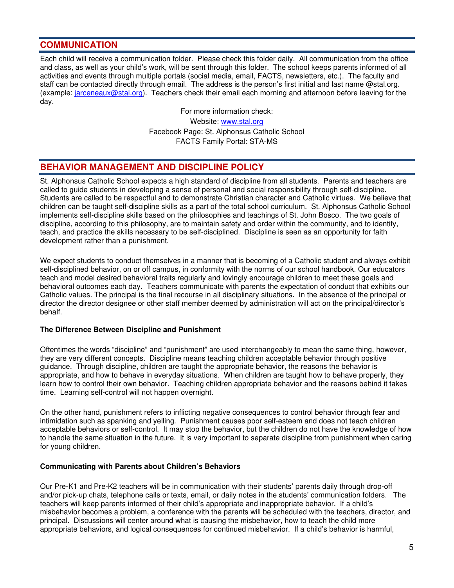#### **COMMUNICATION**

Each child will receive a communication folder. Please check this folder daily. All communication from the office and class, as well as your child's work, will be sent through this folder. The school keeps parents informed of all activities and events through multiple portals (social media, email, FACTS, newsletters, etc.). The faculty and staff can be contacted directly through email. The address is the person's first initial and last name @stal.org. (example: jarceneaux@stal.org). Teachers check their email each morning and afternoon before leaving for the day.

> For more information check: Website: www.stal.org Facebook Page: St. Alphonsus Catholic School FACTS Family Portal: STA-MS

#### **BEHAVIOR MANAGEMENT AND DISCIPLINE POLICY**

St. Alphonsus Catholic School expects a high standard of discipline from all students. Parents and teachers are called to guide students in developing a sense of personal and social responsibility through self-discipline. Students are called to be respectful and to demonstrate Christian character and Catholic virtues. We believe that children can be taught self-discipline skills as a part of the total school curriculum. St. Alphonsus Catholic School implements self-discipline skills based on the philosophies and teachings of St. John Bosco. The two goals of discipline, according to this philosophy, are to maintain safety and order within the community, and to identify, teach, and practice the skills necessary to be self-disciplined. Discipline is seen as an opportunity for faith development rather than a punishment.

We expect students to conduct themselves in a manner that is becoming of a Catholic student and always exhibit self-disciplined behavior, on or off campus, in conformity with the norms of our school handbook. Our educators teach and model desired behavioral traits regularly and lovingly encourage children to meet these goals and behavioral outcomes each day. Teachers communicate with parents the expectation of conduct that exhibits our Catholic values. The principal is the final recourse in all disciplinary situations. In the absence of the principal or director the director designee or other staff member deemed by administration will act on the principal/director's behalf.

#### **The Difference Between Discipline and Punishment**

Oftentimes the words "discipline" and "punishment" are used interchangeably to mean the same thing, however, they are very different concepts. Discipline means teaching children acceptable behavior through positive guidance. Through discipline, children are taught the appropriate behavior, the reasons the behavior is appropriate, and how to behave in everyday situations. When children are taught how to behave properly, they learn how to control their own behavior. Teaching children appropriate behavior and the reasons behind it takes time. Learning self-control will not happen overnight.

On the other hand, punishment refers to inflicting negative consequences to control behavior through fear and intimidation such as spanking and yelling. Punishment causes poor self-esteem and does not teach children acceptable behaviors or self-control. It may stop the behavior, but the children do not have the knowledge of how to handle the same situation in the future. It is very important to separate discipline from punishment when caring for young children.

#### **Communicating with Parents about Children's Behaviors**

Our Pre-K1 and Pre-K2 teachers will be in communication with their students' parents daily through drop-off and/or pick-up chats, telephone calls or texts, email, or daily notes in the students' communication folders. The teachers will keep parents informed of their child's appropriate and inappropriate behavior. If a child's misbehavior becomes a problem, a conference with the parents will be scheduled with the teachers, director, and principal. Discussions will center around what is causing the misbehavior, how to teach the child more appropriate behaviors, and logical consequences for continued misbehavior. If a child's behavior is harmful,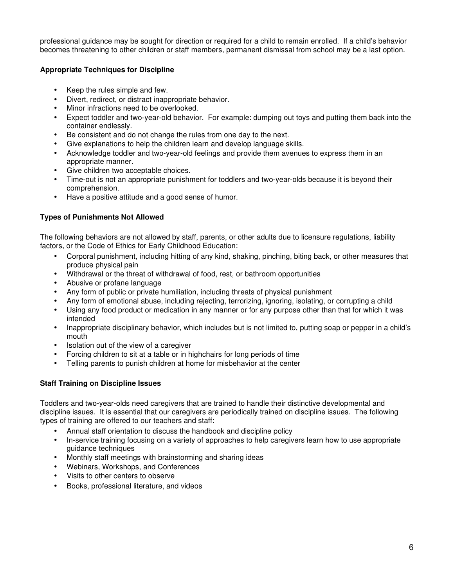professional guidance may be sought for direction or required for a child to remain enrolled. If a child's behavior becomes threatening to other children or staff members, permanent dismissal from school may be a last option.

#### **Appropriate Techniques for Discipline**

- Keep the rules simple and few.
- Divert, redirect, or distract inappropriate behavior.
- Minor infractions need to be overlooked.
- Expect toddler and two-year-old behavior. For example: dumping out toys and putting them back into the container endlessly.
- Be consistent and do not change the rules from one day to the next.
- Give explanations to help the children learn and develop language skills.
- Acknowledge toddler and two-year-old feelings and provide them avenues to express them in an appropriate manner.
- Give children two acceptable choices.
- Time-out is not an appropriate punishment for toddlers and two-year-olds because it is beyond their comprehension.
- Have a positive attitude and a good sense of humor.

#### **Types of Punishments Not Allowed**

The following behaviors are not allowed by staff, parents, or other adults due to licensure regulations, liability factors, or the Code of Ethics for Early Childhood Education:

- Corporal punishment, including hitting of any kind, shaking, pinching, biting back, or other measures that produce physical pain
- Withdrawal or the threat of withdrawal of food, rest, or bathroom opportunities
- Abusive or profane language
- Any form of public or private humiliation, including threats of physical punishment
- Any form of emotional abuse, including rejecting, terrorizing, ignoring, isolating, or corrupting a child
- Using any food product or medication in any manner or for any purpose other than that for which it was intended
- Inappropriate disciplinary behavior, which includes but is not limited to, putting soap or pepper in a child's mouth
- Isolation out of the view of a caregiver
- Forcing children to sit at a table or in highchairs for long periods of time
- Telling parents to punish children at home for misbehavior at the center

#### **Staff Training on Discipline Issues**

Toddlers and two-year-olds need caregivers that are trained to handle their distinctive developmental and discipline issues. It is essential that our caregivers are periodically trained on discipline issues. The following types of training are offered to our teachers and staff:

- Annual staff orientation to discuss the handbook and discipline policy
- In-service training focusing on a variety of approaches to help caregivers learn how to use appropriate guidance techniques
- Monthly staff meetings with brainstorming and sharing ideas
- Webinars, Workshops, and Conferences
- Visits to other centers to observe
- Books, professional literature, and videos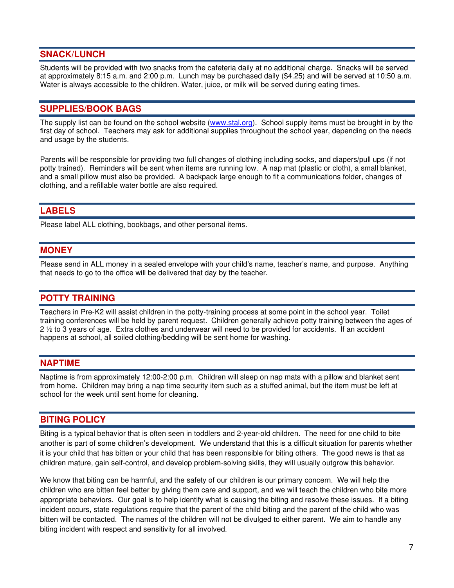#### **SNACK/LUNCH**

Students will be provided with two snacks from the cafeteria daily at no additional charge. Snacks will be served at approximately 8:15 a.m. and 2:00 p.m. Lunch may be purchased daily (\$4.25) and will be served at 10:50 a.m. Water is always accessible to the children. Water, juice, or milk will be served during eating times.

#### **SUPPLIES/BOOK BAGS**

The supply list can be found on the school website (www.stal.org). School supply items must be brought in by the first day of school. Teachers may ask for additional supplies throughout the school year, depending on the needs and usage by the students.

Parents will be responsible for providing two full changes of clothing including socks, and diapers/pull ups (if not potty trained). Reminders will be sent when items are running low. A nap mat (plastic or cloth), a small blanket, and a small pillow must also be provided. A backpack large enough to fit a communications folder, changes of clothing, and a refillable water bottle are also required.

#### **LABELS**

Please label ALL clothing, bookbags, and other personal items.

#### **MONEY**

Please send in ALL money in a sealed envelope with your child's name, teacher's name, and purpose. Anything that needs to go to the office will be delivered that day by the teacher.

#### **POTTY TRAINING**

Teachers in Pre-K2 will assist children in the potty-training process at some point in the school year. Toilet training conferences will be held by parent request. Children generally achieve potty training between the ages of 2 ½ to 3 years of age. Extra clothes and underwear will need to be provided for accidents. If an accident happens at school, all soiled clothing/bedding will be sent home for washing.

#### **NAPTIME**

Naptime is from approximately 12:00-2:00 p.m. Children will sleep on nap mats with a pillow and blanket sent from home. Children may bring a nap time security item such as a stuffed animal, but the item must be left at school for the week until sent home for cleaning.

#### **BITING POLICY**

Biting is a typical behavior that is often seen in toddlers and 2-year-old children. The need for one child to bite another is part of some children's development. We understand that this is a difficult situation for parents whether it is your child that has bitten or your child that has been responsible for biting others. The good news is that as children mature, gain self-control, and develop problem-solving skills, they will usually outgrow this behavior.

We know that biting can be harmful, and the safety of our children is our primary concern. We will help the children who are bitten feel better by giving them care and support, and we will teach the children who bite more appropriate behaviors. Our goal is to help identify what is causing the biting and resolve these issues. If a biting incident occurs, state regulations require that the parent of the child biting and the parent of the child who was bitten will be contacted. The names of the children will not be divulged to either parent. We aim to handle any biting incident with respect and sensitivity for all involved.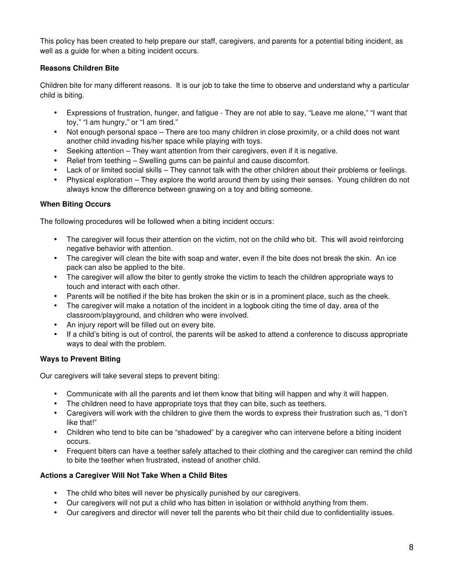This policy has been created to help prepare our staff, caregivers, and parents for a potential biting incident, as well as a guide for when a biting incident occurs.

#### **Reasons Children Bite**

Children bite for many different reasons. It is our job to take the time to observe and understand why a particular child is biting.

- Expressions of frustration, hunger, and fatigue They are not able to say, "Leave me alone," "I want that toy," "I am hungry," or "I am tired."
- Not enough personal space There are too many children in close proximity, or a child does not want another child invading his/her space while playing with toys.
- Seeking attention They want attention from their caregivers, even if it is negative.
- Relief from teething Swelling gums can be painful and cause discomfort.
- Lack of or limited social skills They cannot talk with the other children about their problems or feelings.
- Physical exploration They explore the world around them by using their senses. Young children do not always know the difference between gnawing on a toy and biting someone.

#### **When Biting Occurs**

The following procedures will be followed when a biting incident occurs:

- The caregiver will focus their attention on the victim, not on the child who bit. This will avoid reinforcing negative behavior with attention.
- The caregiver will clean the bite with soap and water, even if the bite does not break the skin. An ice pack can also be applied to the bite.
- The caregiver will allow the biter to gently stroke the victim to teach the children appropriate ways to touch and interact with each other.
- Parents will be notified if the bite has broken the skin or is in a prominent place, such as the cheek.
- The caregiver will make a notation of the incident in a logbook citing the time of day, area of the classroom/playground, and children who were involved.
- An injury report will be filled out on every bite.
- If a child's biting is out of control, the parents will be asked to attend a conference to discuss appropriate ways to deal with the problem.

#### **Ways to Prevent Biting**

Our caregivers will take several steps to prevent biting:

- Communicate with all the parents and let them know that biting will happen and why it will happen.
- The children need to have appropriate toys that they can bite, such as teethers.
- Caregivers will work with the children to give them the words to express their frustration such as, "I don't like that!"
- Children who tend to bite can be "shadowed" by a caregiver who can intervene before a biting incident occurs.
- Frequent biters can have a teether safely attached to their clothing and the caregiver can remind the child to bite the teether when frustrated, instead of another child.

#### **Actions a Caregiver Will Not Take When a Child Bites**

- The child who bites will never be physically punished by our caregivers.
- Our caregivers will not put a child who has bitten in isolation or withhold anything from them.
- Our caregivers and director will never tell the parents who bit their child due to confidentiality issues.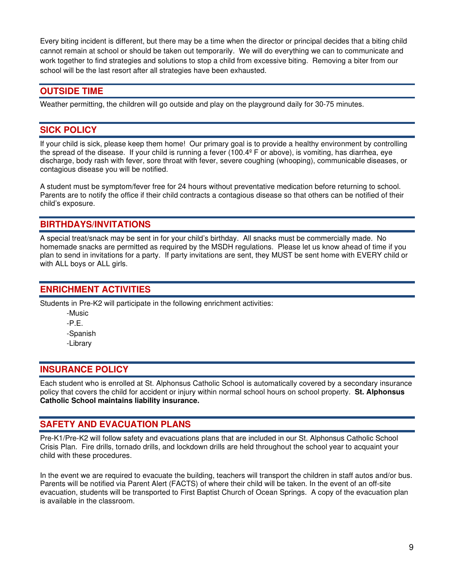Every biting incident is different, but there may be a time when the director or principal decides that a biting child cannot remain at school or should be taken out temporarily. We will do everything we can to communicate and work together to find strategies and solutions to stop a child from excessive biting. Removing a biter from our school will be the last resort after all strategies have been exhausted.

#### **OUTSIDE TIME**

Weather permitting, the children will go outside and play on the playground daily for 30-75 minutes.

#### **SICK POLICY**

If your child is sick, please keep them home! Our primary goal is to provide a healthy environment by controlling the spread of the disease. If your child is running a fever (100.4º F or above), is vomiting, has diarrhea, eye discharge, body rash with fever, sore throat with fever, severe coughing (whooping), communicable diseases, or contagious disease you will be notified.

A student must be symptom/fever free for 24 hours without preventative medication before returning to school. Parents are to notify the office if their child contracts a contagious disease so that others can be notified of their child's exposure.

#### **BIRTHDAYS/INVITATIONS**

A special treat/snack may be sent in for your child's birthday. All snacks must be commercially made. No homemade snacks are permitted as required by the MSDH regulations. Please let us know ahead of time if you plan to send in invitations for a party. If party invitations are sent, they MUST be sent home with EVERY child or with ALL boys or ALL girls.

#### **ENRICHMENT ACTIVITIES**

Students in Pre-K2 will participate in the following enrichment activities:

 -Music -P.E. -Spanish -Library

#### **INSURANCE POLICY**

Each student who is enrolled at St. Alphonsus Catholic School is automatically covered by a secondary insurance policy that covers the child for accident or injury within normal school hours on school property. **St. Alphonsus Catholic School maintains liability insurance.** 

#### **SAFETY AND EVACUATION PLANS**

Pre-K1/Pre-K2 will follow safety and evacuations plans that are included in our St. Alphonsus Catholic School Crisis Plan. Fire drills, tornado drills, and lockdown drills are held throughout the school year to acquaint your child with these procedures.

In the event we are required to evacuate the building, teachers will transport the children in staff autos and/or bus. Parents will be notified via Parent Alert (FACTS) of where their child will be taken. In the event of an off-site evacuation, students will be transported to First Baptist Church of Ocean Springs. A copy of the evacuation plan is available in the classroom.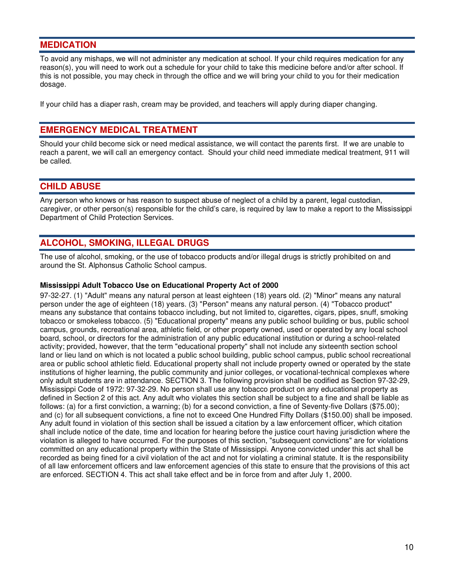#### **MEDICATION**

To avoid any mishaps, we will not administer any medication at school. If your child requires medication for any reason(s), you will need to work out a schedule for your child to take this medicine before and/or after school. If this is not possible, you may check in through the office and we will bring your child to you for their medication dosage.

If your child has a diaper rash, cream may be provided, and teachers will apply during diaper changing.

#### **EMERGENCY MEDICAL TREATMENT**

Should your child become sick or need medical assistance, we will contact the parents first. If we are unable to reach a parent, we will call an emergency contact. Should your child need immediate medical treatment, 911 will be called.

#### **CHILD ABUSE**

Any person who knows or has reason to suspect abuse of neglect of a child by a parent, legal custodian, caregiver, or other person(s) responsible for the child's care, is required by law to make a report to the Mississippi Department of Child Protection Services.

#### **ALCOHOL, SMOKING, ILLEGAL DRUGS**

The use of alcohol, smoking, or the use of tobacco products and/or illegal drugs is strictly prohibited on and around the St. Alphonsus Catholic School campus.

#### **Mississippi Adult Tobacco Use on Educational Property Act of 2000**

97-32-27. (1) "Adult" means any natural person at least eighteen (18) years old. (2) "Minor" means any natural person under the age of eighteen (18) years. (3) "Person" means any natural person. (4) "Tobacco product" means any substance that contains tobacco including, but not limited to, cigarettes, cigars, pipes, snuff, smoking tobacco or smokeless tobacco. (5) "Educational property" means any public school building or bus, public school campus, grounds, recreational area, athletic field, or other property owned, used or operated by any local school board, school, or directors for the administration of any public educational institution or during a school-related activity; provided, however, that the term "educational property" shall not include any sixteenth section school land or lieu land on which is not located a public school building, public school campus, public school recreational area or public school athletic field. Educational property shall not include property owned or operated by the state institutions of higher learning, the public community and junior colleges, or vocational-technical complexes where only adult students are in attendance. SECTION 3. The following provision shall be codified as Section 97-32-29, Mississippi Code of 1972: 97-32-29. No person shall use any tobacco product on any educational property as defined in Section 2 of this act. Any adult who violates this section shall be subject to a fine and shall be liable as follows: (a) for a first conviction, a warning; (b) for a second conviction, a fine of Seventy-five Dollars (\$75.00); and (c) for all subsequent convictions, a fine not to exceed One Hundred Fifty Dollars (\$150.00) shall be imposed. Any adult found in violation of this section shall be issued a citation by a law enforcement officer, which citation shall include notice of the date, time and location for hearing before the justice court having jurisdiction where the violation is alleged to have occurred. For the purposes of this section, "subsequent convictions" are for violations committed on any educational property within the State of Mississippi. Anyone convicted under this act shall be recorded as being fined for a civil violation of the act and not for violating a criminal statute. It is the responsibility of all law enforcement officers and law enforcement agencies of this state to ensure that the provisions of this act are enforced. SECTION 4. This act shall take effect and be in force from and after July 1, 2000.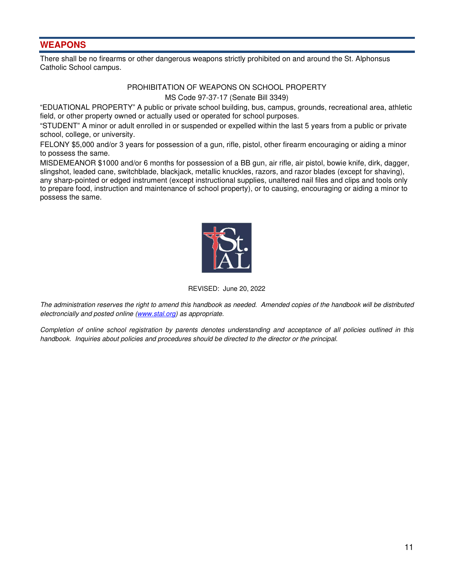#### **WEAPONS**

There shall be no firearms or other dangerous weapons strictly prohibited on and around the St. Alphonsus Catholic School campus.

#### PROHIBITATION OF WEAPONS ON SCHOOL PROPERTY MS Code 97-37-17 (Senate Bill 3349)

"EDUATIONAL PROPERTY" A public or private school building, bus, campus, grounds, recreational area, athletic field, or other property owned or actually used or operated for school purposes.

"STUDENT" A minor or adult enrolled in or suspended or expelled within the last 5 years from a public or private school, college, or university.

FELONY \$5,000 and/or 3 years for possession of a gun, rifle, pistol, other firearm encouraging or aiding a minor to possess the same.

MISDEMEANOR \$1000 and/or 6 months for possession of a BB gun, air rifle, air pistol, bowie knife, dirk, dagger, slingshot, leaded cane, switchblade, blackjack, metallic knuckles, razors, and razor blades (except for shaving), any sharp-pointed or edged instrument (except instructional supplies, unaltered nail files and clips and tools only to prepare food, instruction and maintenance of school property), or to causing, encouraging or aiding a minor to possess the same.



#### REVISED: June 20, 2022

The administration reserves the right to amend this handbook as needed. Amended copies of the handbook will be distributed electroncially and posted online (www.stal.org) as appropriate.

Completion of online school registration by parents denotes understanding and acceptance of all policies outlined in this handbook. Inquiries about policies and procedures should be directed to the director or the principal.